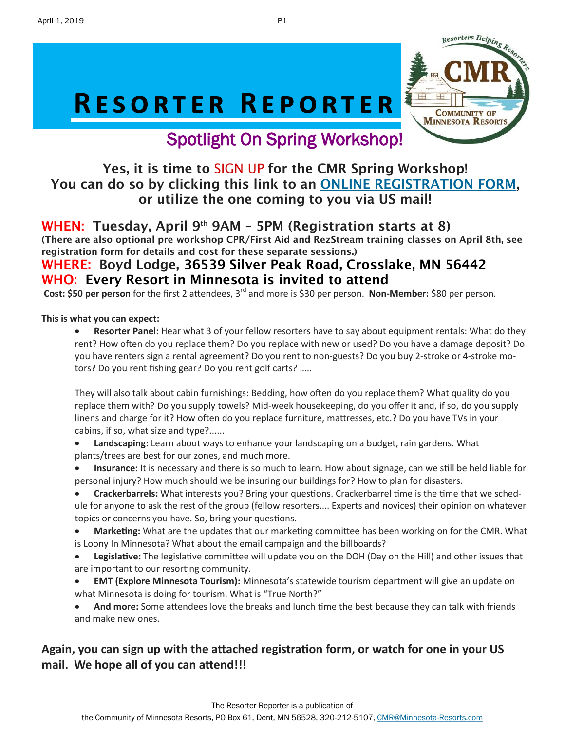# RESORTER REPORTER



### Spotlight On Spring Workshop!

### Yes, it is time to SIGN UP for the CMR Spring Workshop! You can do so by clicking this link to an [ONLINE REGISTRATION FORM,](https://minnesota-resorts.com/wp-content/uploads/2019/03/2019-CMR-Spring-Workshop-invite-1.pdf) or utilize the one coming to you via US mail!

### WHEN: Tuesday, April 9<sup>th</sup> 9AM - 5PM (Registration starts at 8)

(There are also optional pre workshop CPR/First Aid and RezStream training classes on April 8th, see registration form for details and cost for these separate sessions.)

### WHERE: Boyd Lodge, 36539 Silver Peak Road, Crosslake, MN 56442 WHO: Every Resort in Minnesota is invited to attend

**Cost: \$50 per person** for the first 2 attendees, 3rd and more is \$30 per person. **Non-Member:** \$80 per person.

#### **This is what you can expect:**

• **Resorter Panel:** Hear what 3 of your fellow resorters have to say about equipment rentals: What do they rent? How often do you replace them? Do you replace with new or used? Do you have a damage deposit? Do you have renters sign a rental agreement? Do you rent to non-guests? Do you buy 2-stroke or 4-stroke motors? Do you rent fishing gear? Do you rent golf carts? …..

They will also talk about cabin furnishings: Bedding, how often do you replace them? What quality do you replace them with? Do you supply towels? Mid-week housekeeping, do you offer it and, if so, do you supply linens and charge for it? How often do you replace furniture, mattresses, etc.? Do you have TVs in your cabins, if so, what size and type?......

- **Landscaping:** Learn about ways to enhance your landscaping on a budget, rain gardens. What plants/trees are best for our zones, and much more.
- **Insurance:** It is necessary and there is so much to learn. How about signage, can we still be held liable for personal injury? How much should we be insuring our buildings for? How to plan for disasters.
- **Crackerbarrels:** What interests you? Bring your questions. Crackerbarrel time is the time that we schedule for anyone to ask the rest of the group (fellow resorters…. Experts and novices) their opinion on whatever topics or concerns you have. So, bring your questions.
- **Marketing:** What are the updates that our marketing committee has been working on for the CMR. What is Loony In Minnesota? What about the email campaign and the billboards?
- **Legislative:** The legislative committee will update you on the DOH (Day on the Hill) and other issues that are important to our resorting community.
- **EMT (Explore Minnesota Tourism):** Minnesota's statewide tourism department will give an update on what Minnesota is doing for tourism. What is "True North?"
- **And more:** Some attendees love the breaks and lunch time the best because they can talk with friends and make new ones.

### **Again, you can sign up with the attached registration form, or watch for one in your US mail. We hope all of you can attend!!!**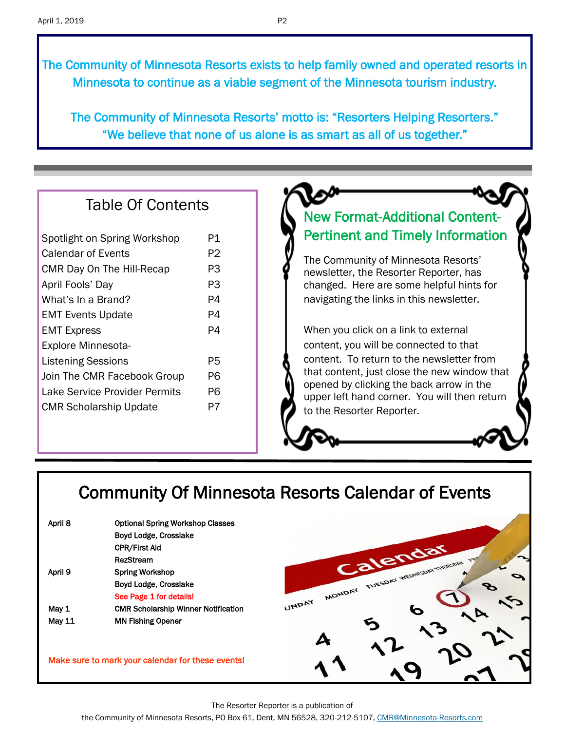The Community of Minnesota Resorts exists to help family owned and operated resorts in Minnesota to continue as a viable segment of the Minnesota tourism industry.

The Community of Minnesota Resorts' motto is: "Resorters Helping Resorters." "We believe that none of us alone is as smart as all of us together."

### Table Of Contents

| Spotlight on Spring Workshop         | P1 |
|--------------------------------------|----|
| Calendar of Events                   | P2 |
| CMR Day On The Hill-Recap            | P3 |
| April Fools' Day                     | PЗ |
| What's In a Brand?                   | P4 |
| <b>EMT Events Update</b>             | P4 |
| <b>EMT Express</b>                   | P4 |
| Explore Minnesota-                   |    |
| <b>Listening Sessions</b>            | P5 |
| Join The CMR Facebook Group          | P6 |
| <b>Lake Service Provider Permits</b> | P6 |
| <b>CMR Scholarship Update</b>        | P7 |
|                                      |    |

### New Format-Additional Content-Pertinent and Timely Information

The Community of Minnesota Resorts' newsletter, the Resorter Reporter, has changed. Here are some helpful hints for navigating the links in this newsletter.

When you click on a link to external content, you will be connected to that content. To return to the newsletter from that content, just close the new window that opened by clicking the back arrow in the upper left hand corner. You will then return to the Resorter Reporter.

### Community Of Minnesota Resorts Calendar of Events

| April 8 | <b>Optional Spring Workshop Classes</b>    |
|---------|--------------------------------------------|
|         | Boyd Lodge, Crosslake                      |
|         | <b>CPR/First Aid</b>                       |
|         | <b>RezStream</b>                           |
| April 9 | <b>Spring Workshop</b>                     |
|         | Boyd Lodge, Crosslake                      |
|         | See Page 1 for details!                    |
| May 1   | <b>CMR Scholarship Winner Notification</b> |
| May 11  | <b>MN Fishing Opener</b>                   |
|         |                                            |

Make sure to mark your calendar for these events!



The Resorter Reporter is a publication of

the Community of Minnesota Resorts, PO Box 61, Dent, MN 56528, 320-212-5107, [CMR@Minnesota-Resorts.com](mailto:CMR@Minnesota-Resorts.com?subject=Community%20of%20Minnesota%20Resorts)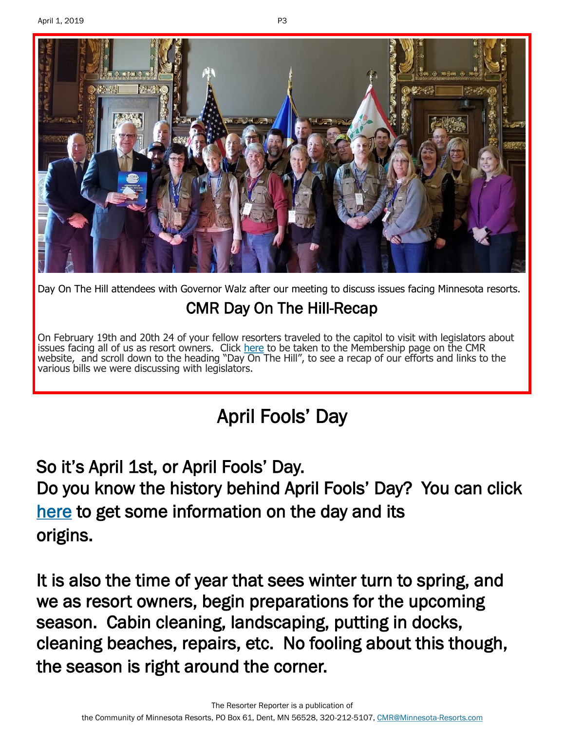

Day On The Hill attendees with Governor Walz after our meeting to discuss issues facing Minnesota resorts. CMR Day On The Hill-Recap

On February 19th and 20th 24 of your fellow resorters traveled to the capitol to visit with legislators about issues facing all of us as resort owners. Click [here](https://minnesota-resorts.com/membership/) to be taken to the Membership page on the CMR website, and scroll down to the heading "Day On The Hill", to see a recap of our efforts and links to the various bills we were discussing with legislators.

## April Fools' Day

So it's April 1st, or April Fools' Day. Do you know the history behind April Fools' Day? You can click [here t](https://www.infoplease.com/calendar-holidays/major-holidays/april-fools-day-origin-and-history)o get some information on the day and its origins.

It is also the time of year that sees winter turn to spring, and we as resort owners, begin preparations for the upcoming season. Cabin cleaning, landscaping, putting in docks, cleaning beaches, repairs, etc. No fooling about this though, the season is right around the corner.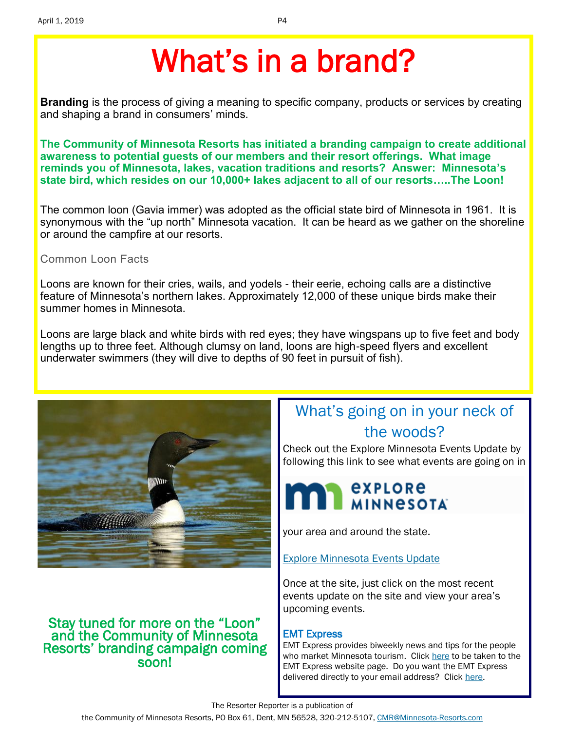# What's in a brand?

**Branding** is the process of giving a meaning to specific company, products or services by creating and shaping a brand in consumers' minds.

**The Community of Minnesota Resorts has initiated a branding campaign to create additional awareness to potential guests of our members and their resort offerings. What image reminds you of Minnesota, lakes, vacation traditions and resorts? Answer: Minnesota's state bird, which resides on our 10,000+ lakes adjacent to all of our resorts…..The Loon!**

The common loon (Gavia immer) was adopted as the official state bird of Minnesota in 1961. It is synonymous with the "up north" Minnesota vacation. It can be heard as we gather on the shoreline or around the campfire at our resorts.

Common Loon Facts

Loons are known for their cries, wails, and yodels - their eerie, echoing calls are a distinctive feature of Minnesota's northern lakes. Approximately 12,000 of these unique birds make their summer homes in Minnesota.

Loons are large black and white birds with red eyes; they have wingspans up to five feet and body lengths up to three feet. Although clumsy on land, loons are high-speed flyers and excellent underwater swimmers (they will dive to depths of 90 feet in pursuit of fish).



#### Stay tuned for more on the "Loon" and the Community of Minnesota Resorts' branding campaign coming soon!

### What's going on in your neck of the woods?

Check out the Explore Minnesota Events Update by following this link to see what events are going on in



your area and around the state.

[Explore Minnesota Events Update](http://www.exploreminnesota.com/newsletter-sign-up/reports/events-report/)

Once at the site, just click on the most recent events update on the site and view your area's upcoming events.

#### EMT Express

EMT Express provides biweekly news and tips for the people who market Minnesota tourism. Click [here](https://www.exploreminnesota.com/industry-minnesota/news/emt-express/) to be taken to the EMT Express website page. Do you want the EMT Express delivered directly to your email address? Click [here.](https://www.exploreminnesota.com/forms/Contacts/Sign_Up_for_the_EMT_Express_Newsletter.aspx)

The Resorter Reporter is a publication of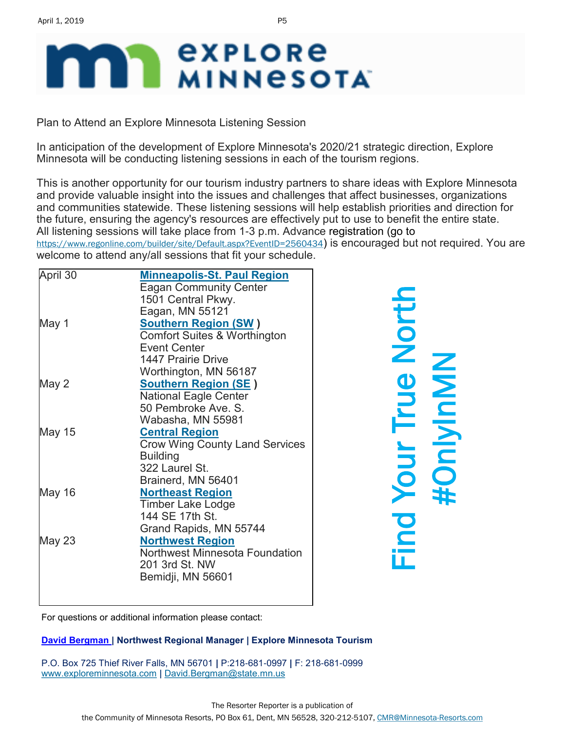# **explore MINNESOTA**

Plan to Attend an Explore Minnesota Listening Session

In anticipation of the development of Explore Minnesota's 2020/21 strategic direction, Explore Minnesota will be conducting listening sessions in each of the tourism regions.

This is another opportunity for our tourism industry partners to share ideas with Explore Minnesota and provide valuable insight into the issues and challenges that affect businesses, organizations and communities statewide. These listening sessions will help establish priorities and direction for the future, ensuring the agency's resources are effectively put to use to benefit the entire state. All listening sessions will take place from 1-3 p.m. Advance registration (go to <https://www.regonline.com/builder/site/Default.aspx?EventID=2560434>) is encouraged but not required. You are welcome to attend any/all sessions that fit your schedule.

| April 30      | <b>Minneapolis-St. Paul Region</b>      |  |
|---------------|-----------------------------------------|--|
|               | <b>Eagan Community Center</b>           |  |
|               | 1501 Central Pkwy.                      |  |
|               | Eagan, MN 55121                         |  |
| May 1         | <b>Southern Region (SW)</b>             |  |
|               | <b>Comfort Suites &amp; Worthington</b> |  |
|               | <b>Event Center</b>                     |  |
|               | 1447 Prairie Drive                      |  |
|               | Worthington, MN 56187                   |  |
| May 2         | <b>Southern Region (SE)</b>             |  |
|               | <b>National Eagle Center</b>            |  |
|               | 50 Pembroke Ave. S.                     |  |
|               | Wabasha, MN 55981                       |  |
| <b>May 15</b> | <b>Central Region</b>                   |  |
|               | <b>Crow Wing County Land Services</b>   |  |
|               | <b>Building</b>                         |  |
|               | 322 Laurel St.                          |  |
|               | Brainerd, MN 56401                      |  |
| May 16        | <b>Northeast Region</b>                 |  |
|               | Timber Lake Lodge                       |  |
|               | 144 SE 17th St.                         |  |
|               | Grand Rapids, MN 55744                  |  |
| May 23        | <b>Northwest Region</b>                 |  |
|               | <b>Northwest Minnesota Foundation</b>   |  |
|               | 201 3rd St. NW                          |  |
|               | Bemidji, MN 56601                       |  |
|               |                                         |  |
|               |                                         |  |

Find Your True North #OnlyInMN

[For questions or additional information please contact:](mailto:david.bergman@state.mn.us) 

#### **[David Bergman](mailto:david.bergman@state.mn.us) | Northwest Regional Manager | Explore Minnesota Tourism**

P.O. Box 725 Thief River Falls, MN 56701 **|** P:218-681-0997 **|** F: 218-681-0999 [www.exploreminnesota.com](https://webmail2.state.mn.us/owa/redir.aspx?C=lGvzqUaA_EOEiDsCUKXQ091kHWcPMdEIcullq8GKNFPZBK8QZzVEwfIAJnwkDXaB7lovL__c6UM.&URL=http%3a%2f%2fwww.exploreminnesota.com%2f) **|** [David.Bergman@state.mn.us](mailto:David.Bergman@state.mn.us)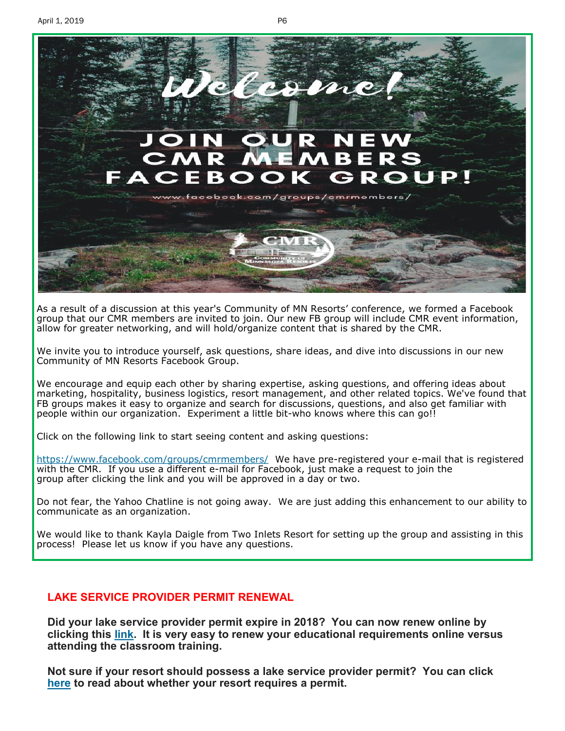

As a result of a discussion at this year's Community of MN Resorts' conference, we formed a Facebook group that our CMR members are invited to join. Our new FB group will include CMR event information, allow for greater networking, and will hold/organize content that is shared by the CMR.

We invite you to introduce yourself, ask questions, share ideas, and dive into discussions in our new Community of MN Resorts Facebook Group.

We encourage and equip each other by sharing expertise, asking questions, and offering ideas about marketing, hospitality, business logistics, resort management, and other related topics. We've found that FB groups makes it easy to organize and search for discussions, questions, and also get familiar with people within our organization. Experiment a little bit-who knows where this can go!!

Click on the following link to start seeing content and asking questions:

<https://www.facebook.com/groups/cmrmembers/> We have pre-registered your e-mail that is registered with the CMR. If you use a different e-mail for Facebook, just make a request to join the group after clicking the link and you will be approved in a day or two.

Do not fear, the Yahoo Chatline is not going away. We are just adding this enhancement to our ability to communicate as an organization.

We would like to thank Kayla Daigle from Two Inlets Resort for setting up the group and assisting in this process! Please let us know if you have any questions.

#### **LAKE SERVICE PROVIDER PERMIT RENEWAL**

**Did your lake service provider permit expire in 2018? You can now renew online by clicking this [link.](https://www.dnr.state.mn.us/lsp/mandatory.html) It is very easy to renew your educational requirements online versus attending the classroom training.**

**Not sure if your resort should possess a lake service provider permit? You can click [here](https://www.dnr.state.mn.us/lsp/lsp-business.html) to read about whether your resort requires a permit.**